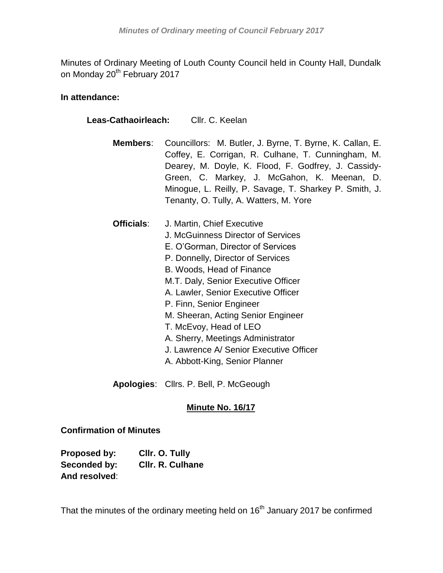Minutes of Ordinary Meeting of Louth County Council held in County Hall, Dundalk on Monday 20<sup>th</sup> February 2017

## **In attendance:**

| Leas-Cathaoirleach: Cllr. C. Keelan |                                                                                                                                                                                                                                                                                                                                                                                                                                                                     |  |
|-------------------------------------|---------------------------------------------------------------------------------------------------------------------------------------------------------------------------------------------------------------------------------------------------------------------------------------------------------------------------------------------------------------------------------------------------------------------------------------------------------------------|--|
| Members:                            | Councillors: M. Butler, J. Byrne, T. Byrne, K. Callan, E.<br>Coffey, E. Corrigan, R. Culhane, T. Cunningham, M.<br>Dearey, M. Doyle, K. Flood, F. Godfrey, J. Cassidy-<br>Green, C. Markey, J. McGahon, K. Meenan, D.<br>Minogue, L. Reilly, P. Savage, T. Sharkey P. Smith, J.<br>Tenanty, O. Tully, A. Watters, M. Yore                                                                                                                                           |  |
| Officials:                          | J. Martin, Chief Executive<br>J. McGuinness Director of Services<br>E. O'Gorman, Director of Services<br>P. Donnelly, Director of Services<br>B. Woods, Head of Finance<br>M.T. Daly, Senior Executive Officer<br>A. Lawler, Senior Executive Officer<br>P. Finn, Senior Engineer<br>M. Sheeran, Acting Senior Engineer<br>T. McEvoy, Head of LEO<br>A. Sherry, Meetings Administrator<br>J. Lawrence A/ Senior Executive Officer<br>A. Abbott-King, Senior Planner |  |

**Apologies**: Cllrs. P. Bell, P. McGeough

# **Minute No. 16/17**

# **Confirmation of Minutes**

| Proposed by:  | Cllr. O. Tully          |
|---------------|-------------------------|
| Seconded by:  | <b>CIIr. R. Culhane</b> |
| And resolved: |                         |

That the minutes of the ordinary meeting held on 16<sup>th</sup> January 2017 be confirmed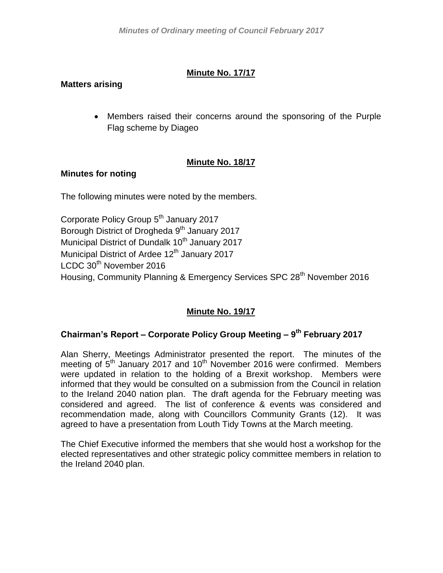## **Minute No. 17/17**

## **Matters arising**

 Members raised their concerns around the sponsoring of the Purple Flag scheme by Diageo

## **Minute No. 18/17**

### **Minutes for noting**

The following minutes were noted by the members.

Corporate Policy Group 5<sup>th</sup> January 2017 Borough District of Drogheda 9<sup>th</sup> January 2017 Municipal District of Dundalk 10<sup>th</sup> January 2017 Municipal District of Ardee 12<sup>th</sup> January 2017 LCDC 30<sup>th</sup> November 2016 Housing, Community Planning & Emergency Services SPC 28<sup>th</sup> November 2016

# **Minute No. 19/17**

## **Chairman's Report – Corporate Policy Group Meeting – 9 th February 2017**

Alan Sherry, Meetings Administrator presented the report. The minutes of the meeting of  $5<sup>th</sup>$  January 2017 and 10<sup>th</sup> November 2016 were confirmed. Members were updated in relation to the holding of a Brexit workshop. Members were informed that they would be consulted on a submission from the Council in relation to the Ireland 2040 nation plan. The draft agenda for the February meeting was considered and agreed. The list of conference & events was considered and recommendation made, along with Councillors Community Grants (12). It was agreed to have a presentation from Louth Tidy Towns at the March meeting.

The Chief Executive informed the members that she would host a workshop for the elected representatives and other strategic policy committee members in relation to the Ireland 2040 plan.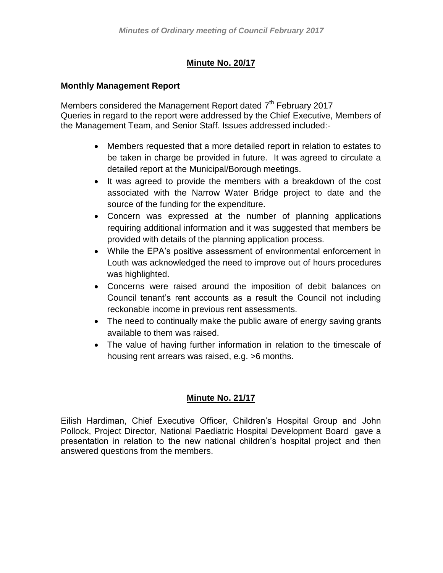# **Minute No. 20/17**

### **Monthly Management Report**

Members considered the Management Report dated 7<sup>th</sup> February 2017 Queries in regard to the report were addressed by the Chief Executive, Members of the Management Team, and Senior Staff. Issues addressed included:-

- Members requested that a more detailed report in relation to estates to be taken in charge be provided in future. It was agreed to circulate a detailed report at the Municipal/Borough meetings.
- It was agreed to provide the members with a breakdown of the cost associated with the Narrow Water Bridge project to date and the source of the funding for the expenditure.
- Concern was expressed at the number of planning applications requiring additional information and it was suggested that members be provided with details of the planning application process.
- While the EPA's positive assessment of environmental enforcement in Louth was acknowledged the need to improve out of hours procedures was highlighted.
- Concerns were raised around the imposition of debit balances on Council tenant's rent accounts as a result the Council not including reckonable income in previous rent assessments.
- The need to continually make the public aware of energy saving grants available to them was raised.
- The value of having further information in relation to the timescale of housing rent arrears was raised, e.g. >6 months.

## **Minute No. 21/17**

Eilish Hardiman, Chief Executive Officer, Children's Hospital Group and John Pollock, Project Director, National Paediatric Hospital Development Board gave a presentation in relation to the new national children's hospital project and then answered questions from the members.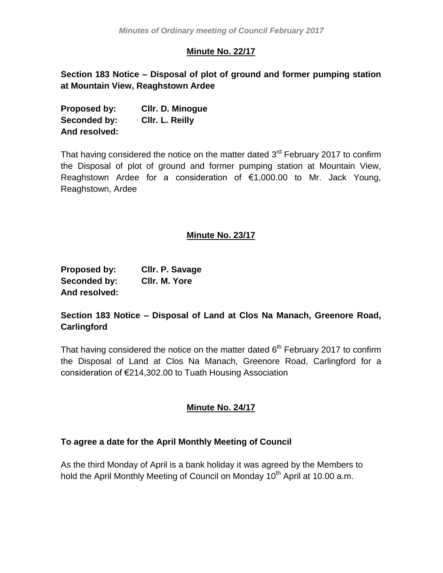## **Minute No. 22/17**

**Section 183 Notice – Disposal of plot of ground and former pumping station at Mountain View, Reaghstown Ardee**

| Proposed by:  | <b>CIIr. D. Minogue</b> |
|---------------|-------------------------|
| Seconded by:  | CIIr. L. Reilly         |
| And resolved: |                         |

That having considered the notice on the matter dated  $3<sup>rd</sup>$  February 2017 to confirm the Disposal of plot of ground and former pumping station at Mountain View, Reaghstown Ardee for a consideration of €1,000.00 to Mr. Jack Young, Reaghstown, Ardee

### **Minute No. 23/17**

| Proposed by:  | Cllr. P. Savage |
|---------------|-----------------|
| Seconded by:  | CIIr. M. Yore   |
| And resolved: |                 |

## **Section 183 Notice – Disposal of Land at Clos Na Manach, Greenore Road, Carlingford**

That having considered the notice on the matter dated  $6<sup>th</sup>$  February 2017 to confirm the Disposal of Land at Clos Na Manach, Greenore Road, Carlingford for a consideration of €214,302.00 to Tuath Housing Association

## **Minute No. 24/17**

### **To agree a date for the April Monthly Meeting of Council**

As the third Monday of April is a bank holiday it was agreed by the Members to hold the April Monthly Meeting of Council on Monday 10<sup>th</sup> April at 10.00 a.m.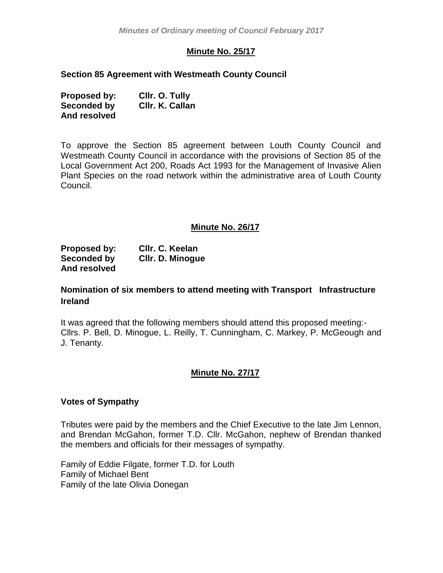## **Minute No. 25/17**

#### **Section 85 Agreement with Westmeath County Council**

| Proposed by: | Cllr. O. Tully  |
|--------------|-----------------|
| Seconded by  | Cllr. K. Callan |
| And resolved |                 |

To approve the Section 85 agreement between Louth County Council and Westmeath County Council in accordance with the provisions of Section 85 of the Local Government Act 200, Roads Act 1993 for the Management of Invasive Alien Plant Species on the road network within the administrative area of Louth County Council.

#### **Minute No. 26/17**

| Proposed by: | CIIr. C. Keelan  |
|--------------|------------------|
| Seconded by  | CIIr. D. Minogue |
| And resolved |                  |

### **Nomination of six members to attend meeting with Transport Infrastructure Ireland**

It was agreed that the following members should attend this proposed meeting:- Cllrs. P. Bell, D. Minogue, L. Reilly, T. Cunningham, C. Markey, P. McGeough and J. Tenanty.

### **Minute No. 27/17**

#### **Votes of Sympathy**

Tributes were paid by the members and the Chief Executive to the late Jim Lennon, and Brendan McGahon, former T.D. Cllr. McGahon, nephew of Brendan thanked the members and officials for their messages of sympathy.

Family of Eddie Filgate, former T.D. for Louth Family of Michael Bent Family of the late Olivia Donegan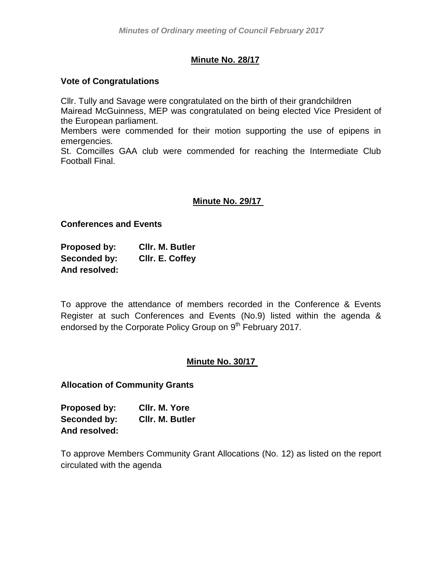## **Minute No. 28/17**

#### **Vote of Congratulations**

Cllr. Tully and Savage were congratulated on the birth of their grandchildren Mairead McGuinness, MEP was congratulated on being elected Vice President of the European parliament.

Members were commended for their motion supporting the use of epipens in emergencies.

St. Comcilles GAA club were commended for reaching the Intermediate Club Football Final.

## **Minute No. 29/17**

#### **Conferences and Events**

**Proposed by: Cllr. M. Butler Seconded by: Cllr. E. Coffey And resolved:**

To approve the attendance of members recorded in the Conference & Events Register at such Conferences and Events (No.9) listed within the agenda & endorsed by the Corporate Policy Group on 9<sup>th</sup> February 2017.

### **Minute No. 30/17**

**Allocation of Community Grants**

| <b>Proposed by:</b> | CIIr. M. Yore   |
|---------------------|-----------------|
| <b>Seconded by:</b> | CIIr. M. Butler |
| And resolved:       |                 |

To approve Members Community Grant Allocations (No. 12) as listed on the report circulated with the agenda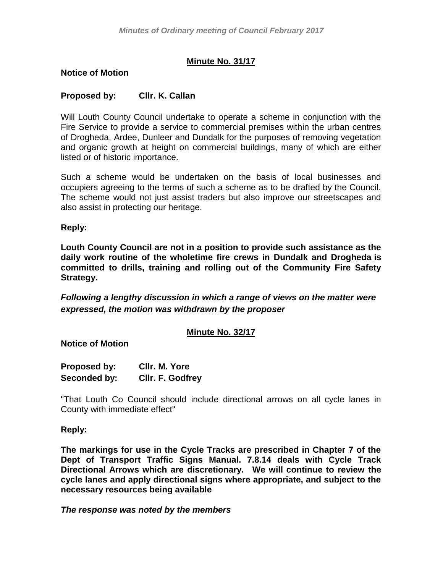## **Minute No. 31/17**

#### **Notice of Motion**

### **Proposed by: Cllr. K. Callan**

Will Louth County Council undertake to operate a scheme in conjunction with the Fire Service to provide a service to commercial premises within the urban centres of Drogheda, Ardee, Dunleer and Dundalk for the purposes of removing vegetation and organic growth at height on commercial buildings, many of which are either listed or of historic importance.

Such a scheme would be undertaken on the basis of local businesses and occupiers agreeing to the terms of such a scheme as to be drafted by the Council. The scheme would not just assist traders but also improve our streetscapes and also assist in protecting our heritage.

**Reply:**

**Louth County Council are not in a position to provide such assistance as the daily work routine of the wholetime fire crews in Dundalk and Drogheda is committed to drills, training and rolling out of the Community Fire Safety Strategy.**

*Following a lengthy discussion in which a range of views on the matter were expressed, the motion was withdrawn by the proposer*

### **Minute No. 32/17**

**Notice of Motion**

| <b>Proposed by:</b> | CIIr. M. Yore           |
|---------------------|-------------------------|
| Seconded by:        | <b>CIIr. F. Godfrey</b> |

"That Louth Co Council should include directional arrows on all cycle lanes in County with immediate effect"

#### **Reply:**

**The markings for use in the Cycle Tracks are prescribed in Chapter 7 of the Dept of Transport Traffic Signs Manual. 7.8.14 deals with Cycle Track Directional Arrows which are discretionary. We will continue to review the cycle lanes and apply directional signs where appropriate, and subject to the necessary resources being available**

*The response was noted by the members*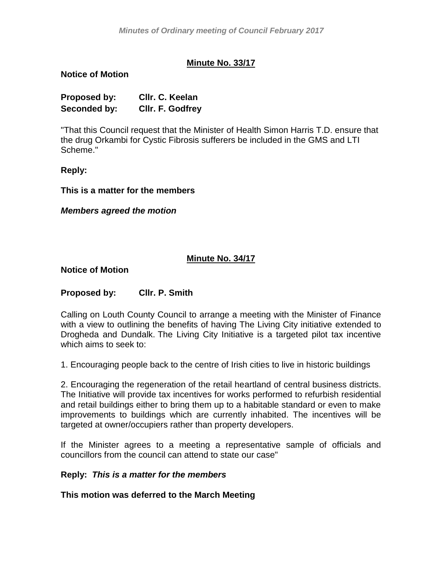## **Minute No. 33/17**

#### **Notice of Motion**

| Proposed by: | Cllr. C. Keelan  |
|--------------|------------------|
| Seconded by: | CIIr. F. Godfrey |

"That this Council request that the Minister of Health Simon Harris T.D. ensure that the drug Orkambi for Cystic Fibrosis sufferers be included in the GMS and LTI Scheme."

**Reply:**

**This is a matter for the members**

*Members agreed the motion*

### **Minute No. 34/17**

#### **Notice of Motion**

### **Proposed by: Cllr. P. Smith**

Calling on Louth County Council to arrange a meeting with the Minister of Finance with a view to outlining the benefits of having The Living City initiative extended to Drogheda and Dundalk. The Living City Initiative is a targeted pilot tax incentive which aims to seek to:

1. Encouraging people back to the centre of Irish cities to live in historic buildings

2. Encouraging the regeneration of the retail heartland of central business districts. The Initiative will provide tax incentives for works performed to refurbish residential and retail buildings either to bring them up to a habitable standard or even to make improvements to buildings which are currently inhabited. The incentives will be targeted at owner/occupiers rather than property developers.

If the Minister agrees to a meeting a representative sample of officials and councillors from the council can attend to state our case"

#### **Reply:** *This is a matter for the members*

**This motion was deferred to the March Meeting**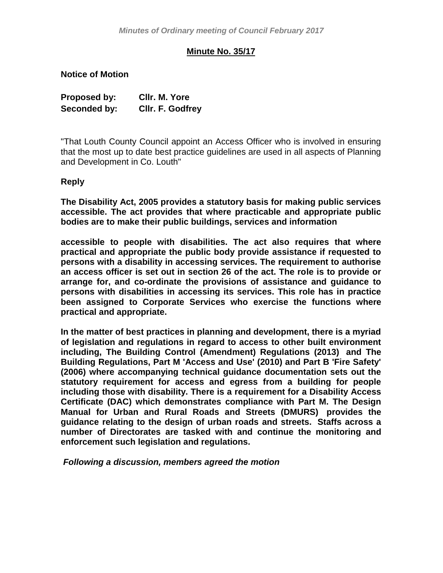## **Minute No. 35/17**

**Notice of Motion**

| Proposed by: | CIIr. M. Yore    |
|--------------|------------------|
| Seconded by: | Cllr. F. Godfrey |

"That Louth County Council appoint an Access Officer who is involved in ensuring that the most up to date best practice guidelines are used in all aspects of Planning and Development in Co. Louth"

**Reply**

**The Disability Act, 2005 provides a statutory basis for making public services accessible. The act provides that where practicable and appropriate public bodies are to make their public buildings, services and information** 

**accessible to people with disabilities. The act also requires that where practical and appropriate the public body provide assistance if requested to persons with a disability in accessing services. The requirement to authorise an access officer is set out in section 26 of the act. The role is to provide or arrange for, and co-ordinate the provisions of assistance and guidance to persons with disabilities in accessing its services. This role has in practice been assigned to Corporate Services who exercise the functions where practical and appropriate.** 

**In the matter of best practices in planning and development, there is a myriad of legislation and regulations in regard to access to other built environment including, The Building Control (Amendment) Regulations (2013) and The Building Regulations, Part M 'Access and Use' (2010) and Part B 'Fire Safety' (2006) where accompanying technical guidance documentation sets out the statutory requirement for access and egress from a building for people including those with disability. There is a requirement for a Disability Access Certificate (DAC) which demonstrates compliance with Part M. The Design Manual for Urban and Rural Roads and Streets (DMURS) provides the guidance relating to the design of urban roads and streets. Staffs across a number of Directorates are tasked with and continue the monitoring and enforcement such legislation and regulations.**

*Following a discussion, members agreed the motion*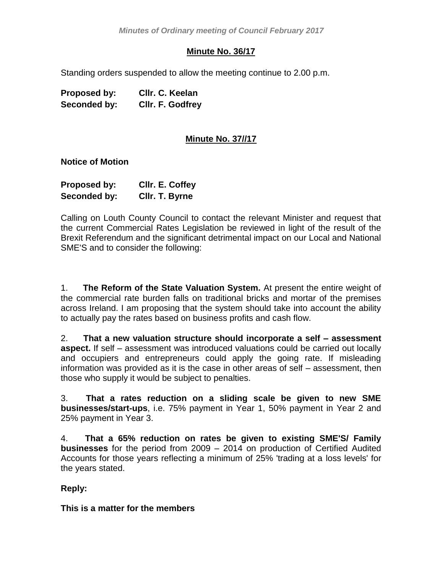## **Minute No. 36/17**

Standing orders suspended to allow the meeting continue to 2.00 p.m.

| Proposed by: | Cllr. C. Keelan         |
|--------------|-------------------------|
| Seconded by: | <b>CIIr. F. Godfrey</b> |

## **Minute No. 37//17**

#### **Notice of Motion**

| <b>Proposed by:</b> | CIIr. E. Coffey |
|---------------------|-----------------|
| Seconded by:        | CIIr. T. Byrne  |

Calling on Louth County Council to contact the relevant Minister and request that the current Commercial Rates Legislation be reviewed in light of the result of the Brexit Referendum and the significant detrimental impact on our Local and National SME'S and to consider the following:

1. **The Reform of the State Valuation System.** At present the entire weight of the commercial rate burden falls on traditional bricks and mortar of the premises across Ireland. I am proposing that the system should take into account the ability to actually pay the rates based on business profits and cash flow.

2. **That a new valuation structure should incorporate a self – assessment aspect.** If self – assessment was introduced valuations could be carried out locally and occupiers and entrepreneurs could apply the going rate. If misleading information was provided as it is the case in other areas of self – assessment, then those who supply it would be subject to penalties.

3. **That a rates reduction on a sliding scale be given to new SME businesses/start-ups**, i.e. 75% payment in Year 1, 50% payment in Year 2 and 25% payment in Year 3.

4. **That a 65% reduction on rates be given to existing SME'S/ Family businesses** for the period from 2009 – 2014 on production of Certified Audited Accounts for those years reflecting a minimum of 25% 'trading at a loss levels' for the years stated.

**Reply:**

**This is a matter for the members**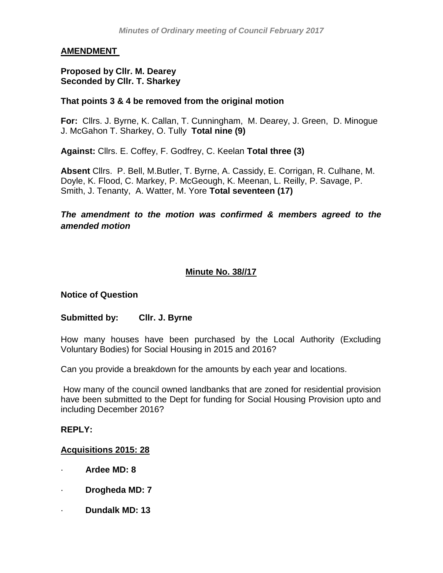## **AMENDMENT**

#### **Proposed by Cllr. M. Dearey Seconded by Cllr. T. Sharkey**

#### **That points 3 & 4 be removed from the original motion**

**For:** Cllrs. J. Byrne, K. Callan, T. Cunningham, M. Dearey, J. Green, D. Minogue J. McGahon T. Sharkey, O. Tully **Total nine (9)**

**Against:** Cllrs. E. Coffey, F. Godfrey, C. Keelan **Total three (3)**

**Absent** Cllrs. P. Bell, M.Butler, T. Byrne, A. Cassidy, E. Corrigan, R. Culhane, M. Doyle, K. Flood, C. Markey, P. McGeough, K. Meenan, L. Reilly, P. Savage, P. Smith, J. Tenanty, A. Watter, M. Yore **Total seventeen (17)**

*The amendment to the motion was confirmed & members agreed to the amended motion*

## **Minute No. 38//17**

### **Notice of Question**

### **Submitted by: Cllr. J. Byrne**

How many houses have been purchased by the Local Authority (Excluding Voluntary Bodies) for Social Housing in 2015 and 2016?

Can you provide a breakdown for the amounts by each year and locations.

How many of the council owned landbanks that are zoned for residential provision have been submitted to the Dept for funding for Social Housing Provision upto and including December 2016?

#### **REPLY:**

### **Acquisitions 2015: 28**

- · **Ardee MD: 8**
- · **Drogheda MD: 7**
- · **Dundalk MD: 13**